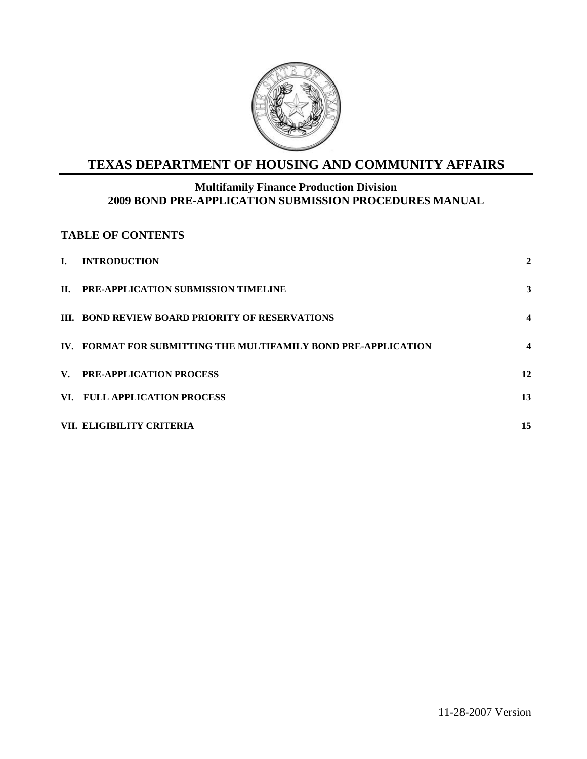

# **TEXAS DEPARTMENT OF HOUSING AND COMMUNITY AFFAIRS**

### **Multifamily Finance Production Division 2009 BOND PRE-APPLICATION SUBMISSION PROCEDURES MANUAL**

### **TABLE OF CONTENTS**

| L.  | <b>INTRODUCTION</b>                                            | 2                |
|-----|----------------------------------------------------------------|------------------|
| II. | PRE-APPLICATION SUBMISSION TIMELINE                            | 3                |
|     | <b>III. BOND REVIEW BOARD PRIORITY OF RESERVATIONS</b>         | 4                |
|     | IV. FORMAT FOR SUBMITTING THE MULTIFAMILY BOND PRE-APPLICATION | $\boldsymbol{4}$ |
|     | V. PRE-APPLICATION PROCESS                                     | 12               |
|     | VI. FULL APPLICATION PROCESS                                   | 13               |
|     | VII. ELIGIBILITY CRITERIA                                      | 15               |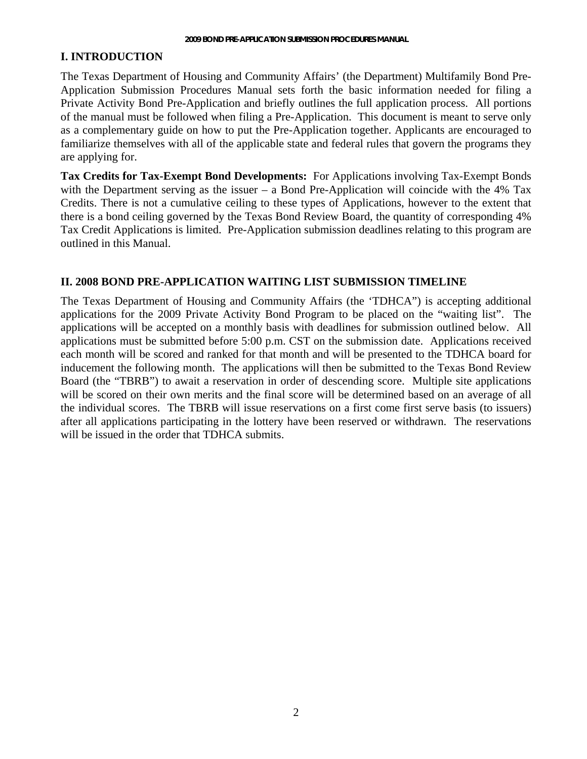#### <span id="page-1-0"></span>**I. INTRODUCTION**

The Texas Department of Housing and Community Affairs' (the Department) Multifamily Bond Pre-Application Submission Procedures Manual sets forth the basic information needed for filing a Private Activity Bond Pre-Application and briefly outlines the full application process. All portions of the manual must be followed when filing a Pre-Application. This document is meant to serve only as a complementary guide on how to put the Pre-Application together. Applicants are encouraged to familiarize themselves with all of the applicable state and federal rules that govern the programs they are applying for.

**Tax Credits for Tax-Exempt Bond Developments:** For Applications involving Tax-Exempt Bonds with the Department serving as the issuer – a Bond Pre-Application will coincide with the 4% Tax Credits. There is not a cumulative ceiling to these types of Applications, however to the extent that there is a bond ceiling governed by the Texas Bond Review Board, the quantity of corresponding 4% Tax Credit Applications is limited. Pre-Application submission deadlines relating to this program are outlined in this Manual.

#### **II. 2008 BOND PRE-APPLICATION WAITING LIST SUBMISSION TIMELINE**

The Texas Department of Housing and Community Affairs (the 'TDHCA") is accepting additional applications for the 2009 Private Activity Bond Program to be placed on the "waiting list". The applications will be accepted on a monthly basis with deadlines for submission outlined below. All applications must be submitted before 5:00 p.m. CST on the submission date. Applications received each month will be scored and ranked for that month and will be presented to the TDHCA board for inducement the following month. The applications will then be submitted to the Texas Bond Review Board (the "TBRB") to await a reservation in order of descending score. Multiple site applications will be scored on their own merits and the final score will be determined based on an average of all the individual scores. The TBRB will issue reservations on a first come first serve basis (to issuers) after all applications participating in the lottery have been reserved or withdrawn. The reservations will be issued in the order that TDHCA submits.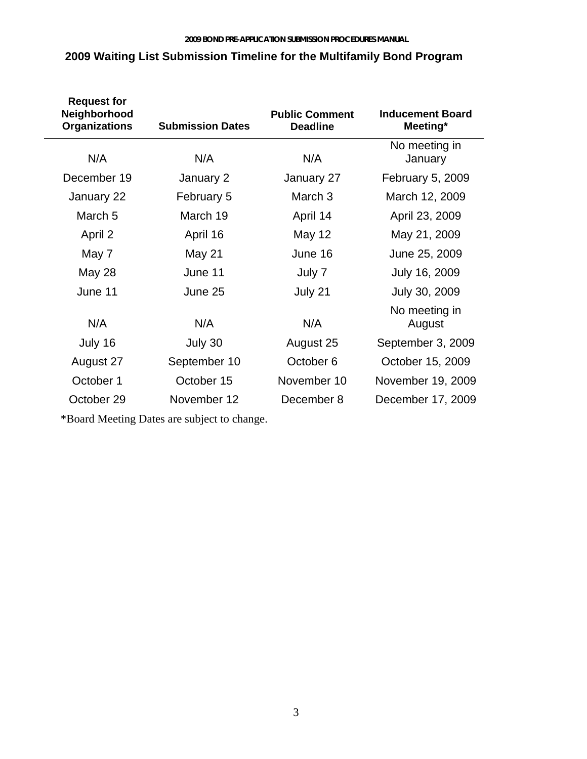| <b>Request for</b><br>Neighborhood<br><b>Organizations</b> | <b>Submission Dates</b> | <b>Public Comment</b><br><b>Deadline</b> | <b>Inducement Board</b><br>Meeting* |
|------------------------------------------------------------|-------------------------|------------------------------------------|-------------------------------------|
| N/A                                                        | N/A                     | N/A                                      | No meeting in<br>January            |
| December 19                                                | January 2               | January 27                               | <b>February 5, 2009</b>             |
| January 22                                                 | February 5              | March <sub>3</sub>                       | March 12, 2009                      |
| March <sub>5</sub>                                         | March 19                | April 14                                 | April 23, 2009                      |
| April 2                                                    | April 16                | May 12                                   | May 21, 2009                        |
| May 7                                                      | May 21                  | June 16                                  | June 25, 2009                       |
| May 28                                                     | June 11                 | July 7                                   | July 16, 2009                       |
| June 11                                                    | June 25                 | July 21                                  | July 30, 2009                       |
| N/A                                                        | N/A                     | N/A                                      | No meeting in<br>August             |
| July 16                                                    | July 30                 | August 25                                | September 3, 2009                   |
| August 27                                                  | September 10            | October 6                                | October 15, 2009                    |
| October 1                                                  | October 15              | November 10                              | November 19, 2009                   |
| October 29                                                 | November 12             | December 8                               | December 17, 2009                   |

## **2009 Waiting List Submission Timeline for the Multifamily Bond Program**

\*Board Meeting Dates are subject to change.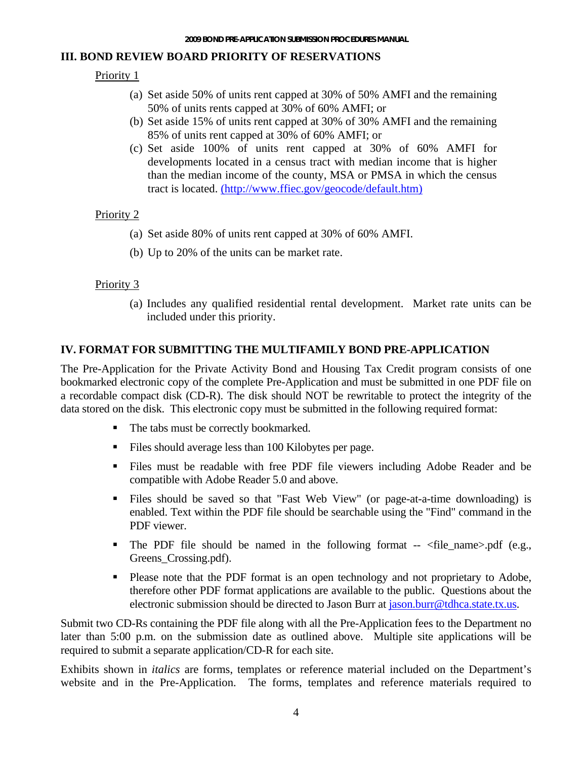#### **III. BOND REVIEW BOARD PRIORITY OF RESERVATIONS**

### Priority 1

- (a) Set aside 50% of units rent capped at 30% of 50% AMFI and the remaining 50% of units rents capped at 30% of 60% AMFI; or
- (b) Set aside 15% of units rent capped at 30% of 30% AMFI and the remaining 85% of units rent capped at 30% of 60% AMFI; or
- (c) Set aside 100% of units rent capped at 30% of 60% AMFI for developments located in a census tract with median income that is higher than the median income of the county, MSA or PMSA in which the census tract is located. (http://www.ffiec.gov/geocode/default.htm)

### Priority 2

- (a) Set aside 80% of units rent capped at 30% of 60% AMFI.
- (b) Up to 20% of the units can be market rate.

### Priority 3

(a) Includes any qualified residential rental development. Market rate units can be included under this priority.

### **IV. FORMAT FOR SUBMITTING THE MULTIFAMILY BOND PRE-APPLICATION**

The Pre-Application for the Private Activity Bond and Housing Tax Credit program consists of one bookmarked electronic copy of the complete Pre-Application and must be submitted in one PDF file on a recordable compact disk (CD-R). The disk should NOT be rewritable to protect the integrity of the data stored on the disk. This electronic copy must be submitted in the following required format:

- The tabs must be correctly bookmarked.
- Files should average less than 100 Kilobytes per page.
- Files must be readable with free PDF file viewers including Adobe Reader and be compatible with Adobe Reader 5.0 and above.
- Files should be saved so that "Fast Web View" (or page-at-a-time downloading) is enabled. Text within the PDF file should be searchable using the "Find" command in the PDF viewer.
- The PDF file should be named in the following format  $\langle$  file\_name $\rangle$ .pdf (e.g., Greens Crossing.pdf).
- Please note that the PDF format is an open technology and not proprietary to Adobe, therefore other PDF format applications are available to the public. Questions about the electronic submission should be directed to Jason Burr at [jason.burr@tdhca.state.tx.us](mailto:jason.burr@tdhca.state.tx.us).

Submit two CD-Rs containing the PDF file along with all the Pre-Application fees to the Department no later than 5:00 p.m. on the submission date as outlined above. Multiple site applications will be required to submit a separate application/CD-R for each site.

Exhibits shown in *italics* are forms, templates or reference material included on the Department's website and in the Pre-Application. The forms, templates and reference materials required to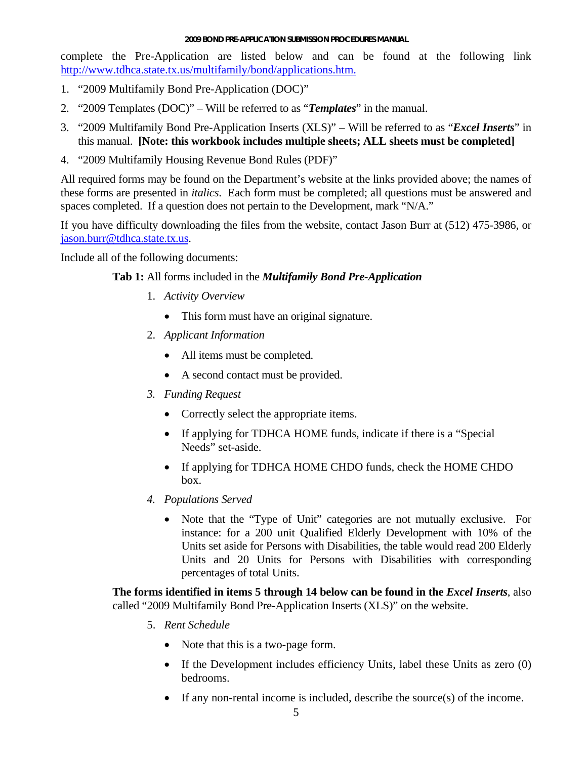complete the Pre-Application are listed below and can be found at the following link <http://www.tdhca.state.tx.us/multifamily/bond/applications.htm.>

- 1. "2009 Multifamily Bond Pre-Application (DOC)"
- 2. "2009 Templates (DOC)" Will be referred to as "*Templates*" in the manual.
- 3. "2009 Multifamily Bond Pre-Application Inserts (XLS)" Will be referred to as "*Excel Inserts*" in this manual. **[Note: this workbook includes multiple sheets; ALL sheets must be completed]**
- 4. "2009 Multifamily Housing Revenue Bond Rules (PDF)"

All required forms may be found on the Department's website at the links provided above; the names of these forms are presented in *italics*. Each form must be completed; all questions must be answered and spaces completed. If a question does not pertain to the Development, mark "N/A."

If you have difficulty downloading the files from the website, contact Jason Burr at (512) 475-3986, or [jason.burr@tdhca.state.tx.us.](mailto:Jason.burr@tdhca.state.tx.us)

Include all of the following documents:

### **Tab 1:** All forms included in the *Multifamily Bond Pre-Application*

- 1. *Activity Overview* 
	- This form must have an original signature.
- 2. *Applicant Information* 
	- All items must be completed.
	- A second contact must be provided.
- *3. Funding Request* 
	- Correctly select the appropriate items.
	- If applying for TDHCA HOME funds, indicate if there is a "Special" Needs" set-aside.
	- If applying for TDHCA HOME CHDO funds, check the HOME CHDO box.
- *4. Populations Served*
	- Note that the "Type of Unit" categories are not mutually exclusive. For instance: for a 200 unit Qualified Elderly Development with 10% of the Units set aside for Persons with Disabilities, the table would read 200 Elderly Units and 20 Units for Persons with Disabilities with corresponding percentages of total Units.

**The forms identified in items 5 through 14 below can be found in the** *Excel Inserts*, also called "2009 Multifamily Bond Pre-Application Inserts (XLS)" on the website.

- 5. *Rent Schedule* 
	- Note that this is a two-page form.
	- If the Development includes efficiency Units, label these Units as zero (0) bedrooms.
	- If any non-rental income is included, describe the source(s) of the income.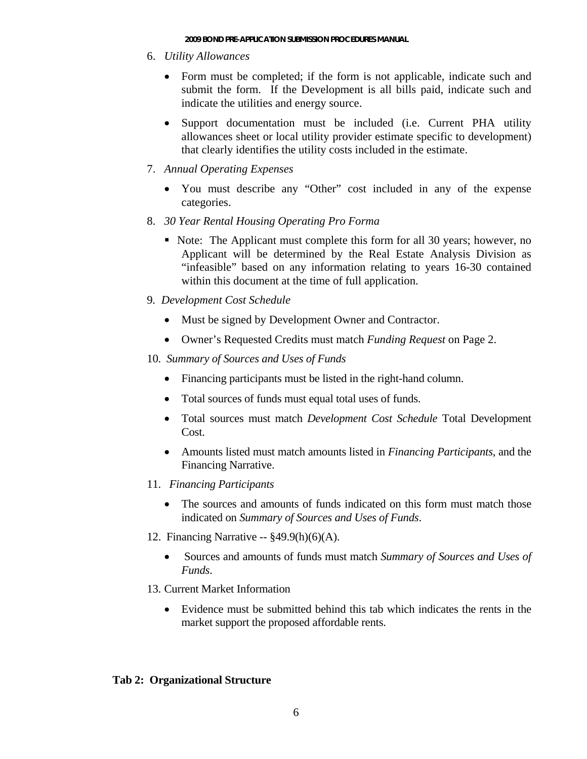- 6. *Utility Allowances* 
	- Form must be completed; if the form is not applicable, indicate such and submit the form. If the Development is all bills paid, indicate such and indicate the utilities and energy source.
	- Support documentation must be included (i.e. Current PHA utility allowances sheet or local utility provider estimate specific to development) that clearly identifies the utility costs included in the estimate.
- 7. *Annual Operating Expenses* 
	- You must describe any "Other" cost included in any of the expense categories.
- 8. *30 Year Rental Housing Operating Pro Forma* 
	- Note: The Applicant must complete this form for all 30 years; however, no Applicant will be determined by the Real Estate Analysis Division as "infeasible" based on any information relating to years 16-30 contained within this document at the time of full application.
- 9*. Development Cost Schedule* 
	- Must be signed by Development Owner and Contractor.
	- Owner's Requested Credits must match *Funding Request* on Page 2.
- 10. *Summary of Sources and Uses of Funds*
	- Financing participants must be listed in the right-hand column.
	- Total sources of funds must equal total uses of funds.
	- Total sources must match *Development Cost Schedule* Total Development Cost.
	- Amounts listed must match amounts listed in *Financing Participants*, and the Financing Narrative.
- 11. *Financing Participants*
	- The sources and amounts of funds indicated on this form must match those indicated on *Summary of Sources and Uses of Funds*.
- 12. Financing Narrative -- §49.9(h)(6)(A).
	- Sources and amounts of funds must match *Summary of Sources and Uses of Funds*.
- 13. Current Market Information
	- Evidence must be submitted behind this tab which indicates the rents in the market support the proposed affordable rents.

#### **Tab 2: Organizational Structure**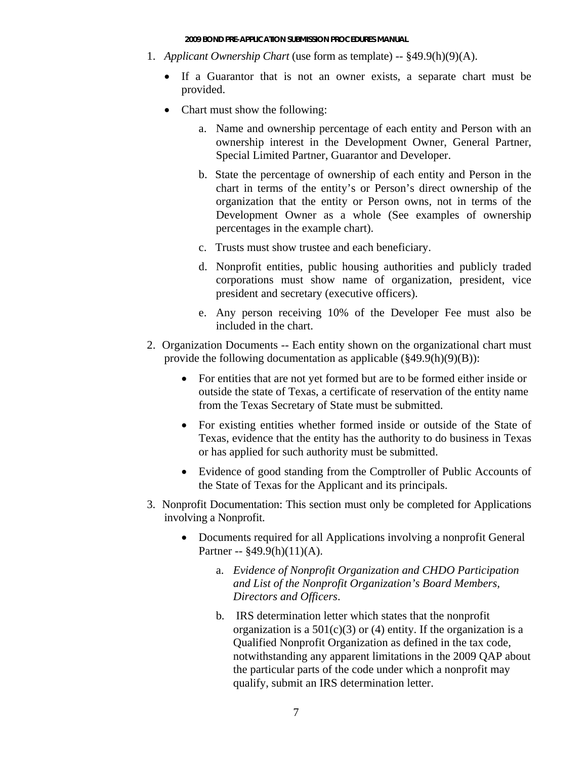- 1. *Applicant Ownership Chart* (use form as template) -- §49.9(h)(9)(A).
	- If a Guarantor that is not an owner exists, a separate chart must be provided.
	- Chart must show the following:
		- a. Name and ownership percentage of each entity and Person with an ownership interest in the Development Owner, General Partner, Special Limited Partner, Guarantor and Developer.
		- b. State the percentage of ownership of each entity and Person in the chart in terms of the entity's or Person's direct ownership of the organization that the entity or Person owns, not in terms of the Development Owner as a whole (See examples of ownership percentages in the example chart).
		- c. Trusts must show trustee and each beneficiary.
		- d. Nonprofit entities, public housing authorities and publicly traded corporations must show name of organization, president, vice president and secretary (executive officers).
		- e. Any person receiving 10% of the Developer Fee must also be included in the chart.
- 2. Organization Documents -- Each entity shown on the organizational chart must provide the following documentation as applicable (§49.9(h)(9)(B)):
	- For entities that are not yet formed but are to be formed either inside or outside the state of Texas, a certificate of reservation of the entity name from the Texas Secretary of State must be submitted.
	- For existing entities whether formed inside or outside of the State of Texas, evidence that the entity has the authority to do business in Texas or has applied for such authority must be submitted.
	- Evidence of good standing from the Comptroller of Public Accounts of the State of Texas for the Applicant and its principals.
- 3. Nonprofit Documentation: This section must only be completed for Applications involving a Nonprofit.
	- Documents required for all Applications involving a nonprofit General Partner -- §49.9(h)(11)(A).
		- a. *Evidence of Nonprofit Organization and CHDO Participation and List of the Nonprofit Organization's Board Members, Directors and Officers*.
		- b. IRS determination letter which states that the nonprofit organization is a  $501(c)(3)$  or (4) entity. If the organization is a Qualified Nonprofit Organization as defined in the tax code, notwithstanding any apparent limitations in the 2009 QAP about the particular parts of the code under which a nonprofit may qualify, submit an IRS determination letter.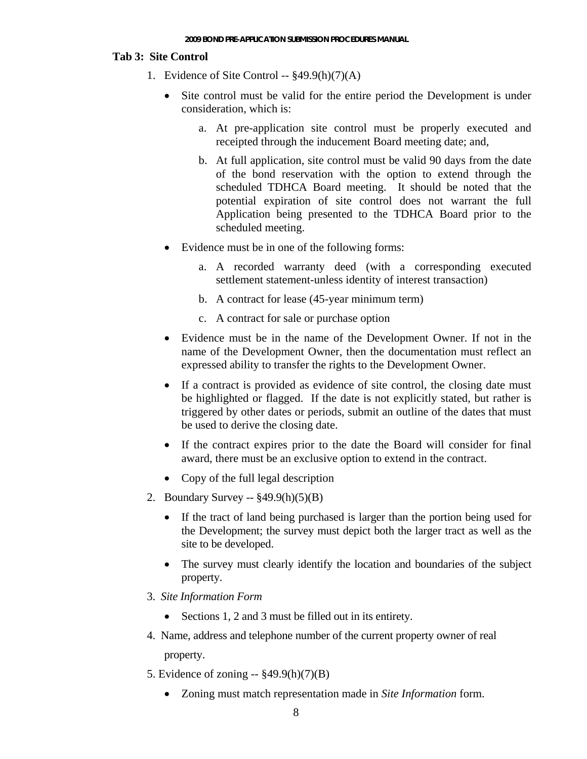#### **Tab 3: Site Control**

- 1. Evidence of Site Control -- §49.9(h)(7)(A)
	- Site control must be valid for the entire period the Development is under consideration, which is:
		- a. At pre-application site control must be properly executed and receipted through the inducement Board meeting date; and,
		- b. At full application, site control must be valid 90 days from the date of the bond reservation with the option to extend through the scheduled TDHCA Board meeting. It should be noted that the potential expiration of site control does not warrant the full Application being presented to the TDHCA Board prior to the scheduled meeting.
	- Evidence must be in one of the following forms:
		- a. A recorded warranty deed (with a corresponding executed settlement statement-unless identity of interest transaction)
		- b. A contract for lease (45-year minimum term)
		- c. A contract for sale or purchase option
	- Evidence must be in the name of the Development Owner. If not in the name of the Development Owner, then the documentation must reflect an expressed ability to transfer the rights to the Development Owner.
	- If a contract is provided as evidence of site control, the closing date must be highlighted or flagged. If the date is not explicitly stated, but rather is triggered by other dates or periods, submit an outline of the dates that must be used to derive the closing date.
	- If the contract expires prior to the date the Board will consider for final award, there must be an exclusive option to extend in the contract.
	- Copy of the full legal description
- 2. Boundary Survey -- §49.9(h)(5)(B)
	- If the tract of land being purchased is larger than the portion being used for the Development; the survey must depict both the larger tract as well as the site to be developed.
	- The survey must clearly identify the location and boundaries of the subject property.
- 3. *Site Information Form* 
	- Sections 1, 2 and 3 must be filled out in its entirety.
- 4. Name, address and telephone number of the current property owner of real property.
- 5. Evidence of zoning -- §49.9(h)(7)(B)
	- Zoning must match representation made in *Site Information* form.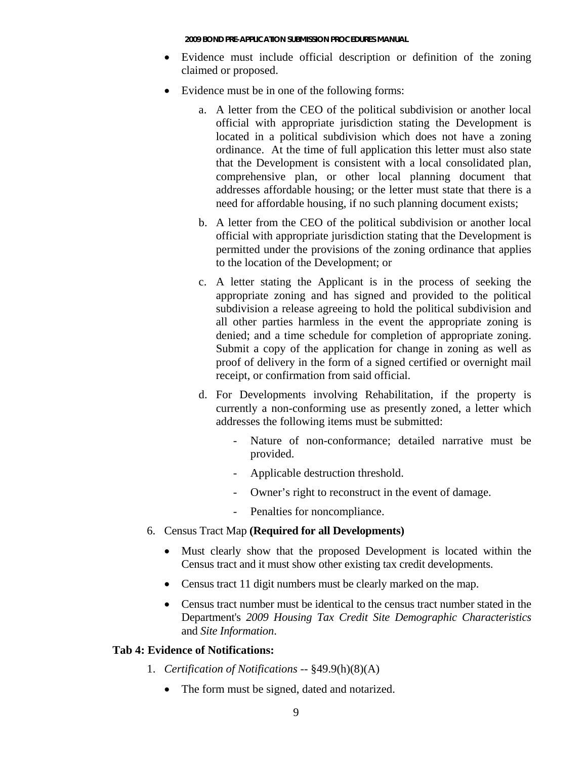- Evidence must include official description or definition of the zoning claimed or proposed.
- Evidence must be in one of the following forms:
	- a. A letter from the CEO of the political subdivision or another local official with appropriate jurisdiction stating the Development is located in a political subdivision which does not have a zoning ordinance. At the time of full application this letter must also state that the Development is consistent with a local consolidated plan, comprehensive plan, or other local planning document that addresses affordable housing; or the letter must state that there is a need for affordable housing, if no such planning document exists;
	- b. A letter from the CEO of the political subdivision or another local official with appropriate jurisdiction stating that the Development is permitted under the provisions of the zoning ordinance that applies to the location of the Development; or
	- c. A letter stating the Applicant is in the process of seeking the appropriate zoning and has signed and provided to the political subdivision a release agreeing to hold the political subdivision and all other parties harmless in the event the appropriate zoning is denied; and a time schedule for completion of appropriate zoning. Submit a copy of the application for change in zoning as well as proof of delivery in the form of a signed certified or overnight mail receipt, or confirmation from said official.
	- d. For Developments involving Rehabilitation, if the property is currently a non-conforming use as presently zoned, a letter which addresses the following items must be submitted:
		- Nature of non-conformance; detailed narrative must be provided.
		- Applicable destruction threshold.
		- Owner's right to reconstruct in the event of damage.
		- Penalties for noncompliance.
- 6. Census Tract Map **(Required for all Developments)** 
	- Must clearly show that the proposed Development is located within the Census tract and it must show other existing tax credit developments.
	- Census tract 11 digit numbers must be clearly marked on the map.
	- Census tract number must be identical to the census tract number stated in the Department's *2009 Housing Tax Credit Site Demographic Characteristics*  and *Site Information*.

#### **Tab 4: Evidence of Notifications:**

- 1. *Certification of Notifications* -- §49.9(h)(8)(A)
	- The form must be signed, dated and notarized.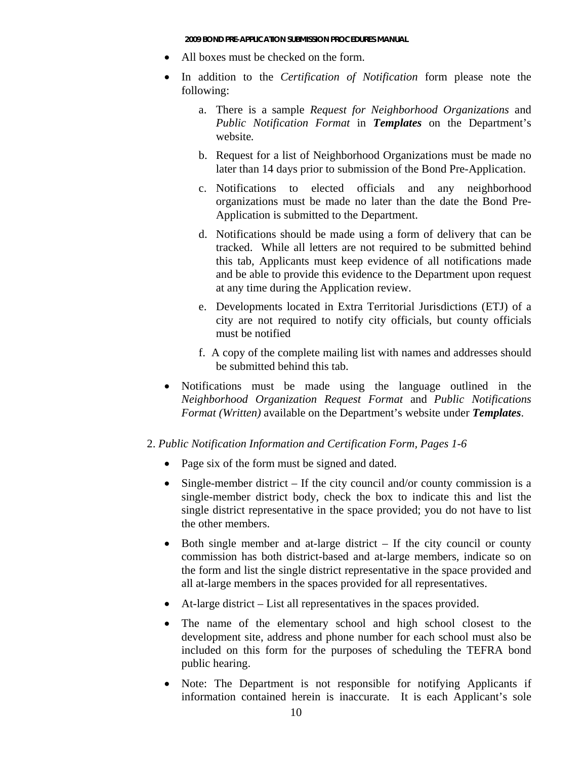- All boxes must be checked on the form.
- In addition to the *Certification of Notification* form please note the following:
	- a. There is a sample *Request for Neighborhood Organizations* and *Public Notification Format* in *Templates* on the Department's website*.*
	- b. Request for a list of Neighborhood Organizations must be made no later than 14 days prior to submission of the Bond Pre-Application.
	- c. Notifications to elected officials and any neighborhood organizations must be made no later than the date the Bond Pre-Application is submitted to the Department.
	- d. Notifications should be made using a form of delivery that can be tracked. While all letters are not required to be submitted behind this tab, Applicants must keep evidence of all notifications made and be able to provide this evidence to the Department upon request at any time during the Application review.
	- e. Developments located in Extra Territorial Jurisdictions (ETJ) of a city are not required to notify city officials, but county officials must be notified
	- f. A copy of the complete mailing list with names and addresses should be submitted behind this tab.
- Notifications must be made using the language outlined in the *Neighborhood Organization Request Format* and *Public Notifications Format (Written)* available on the Department's website under *Templates*.
- 2. *Public Notification Information and Certification Form, Pages 1-6*
	- Page six of the form must be signed and dated.
	- Single-member district If the city council and/or county commission is a single-member district body, check the box to indicate this and list the single district representative in the space provided; you do not have to list the other members.
	- Both single member and at-large district If the city council or county commission has both district-based and at-large members, indicate so on the form and list the single district representative in the space provided and all at-large members in the spaces provided for all representatives.
	- At-large district List all representatives in the spaces provided.
	- The name of the elementary school and high school closest to the development site, address and phone number for each school must also be included on this form for the purposes of scheduling the TEFRA bond public hearing.
	- Note: The Department is not responsible for notifying Applicants if information contained herein is inaccurate. It is each Applicant's sole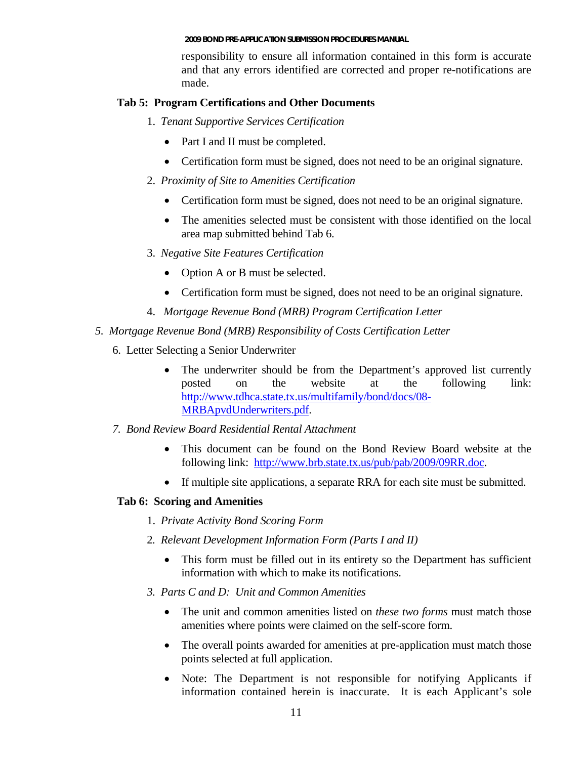responsibility to ensure all information contained in this form is accurate and that any errors identified are corrected and proper re-notifications are made.

### **Tab 5: Program Certifications and Other Documents**

- 1. *Tenant Supportive Services Certification* 
	- Part I and II must be completed.
	- Certification form must be signed, does not need to be an original signature.
- 2. *Proximity of Site to Amenities Certification*
	- Certification form must be signed, does not need to be an original signature.
	- The amenities selected must be consistent with those identified on the local area map submitted behind Tab 6.
- 3. *Negative Site Features Certification*
	- Option A or B must be selected.
	- Certification form must be signed, does not need to be an original signature.
- 4. *Mortgage Revenue Bond (MRB) Program Certification Letter*

### *5. Mortgage Revenue Bond (MRB) Responsibility of Costs Certification Letter*

- 6. Letter Selecting a Senior Underwriter
	- The underwriter should be from the Department's approved list currently posted on the website at the following link: [http://www.tdhca.state.tx.us/multifamily/bond/docs/08-](http://www.tdhca.state.tx.us/multifamily/bond/docs/08-MRBApvdUnderwriters.pdf) [MRBApvdUnderwriters.pdf](http://www.tdhca.state.tx.us/multifamily/bond/docs/08-MRBApvdUnderwriters.pdf).
- *7. Bond Review Board Residential Rental Attachment* 
	- This document can be found on the Bond Review Board website at the following link: <http://www.brb.state.tx.us/pub/pab/2009/09RR.doc>.
	- If multiple site applications, a separate RRA for each site must be submitted.

### **Tab 6: Scoring and Amenities**

- 1. *Private Activity Bond Scoring Form*
- 2*. Relevant Development Information Form (Parts I and II)* 
	- This form must be filled out in its entirety so the Department has sufficient information with which to make its notifications.
- *3. Parts C and D: Unit and Common Amenities* 
	- The unit and common amenities listed on *these two forms* must match those amenities where points were claimed on the self-score form.
	- The overall points awarded for amenities at pre-application must match those points selected at full application.
	- Note: The Department is not responsible for notifying Applicants if information contained herein is inaccurate. It is each Applicant's sole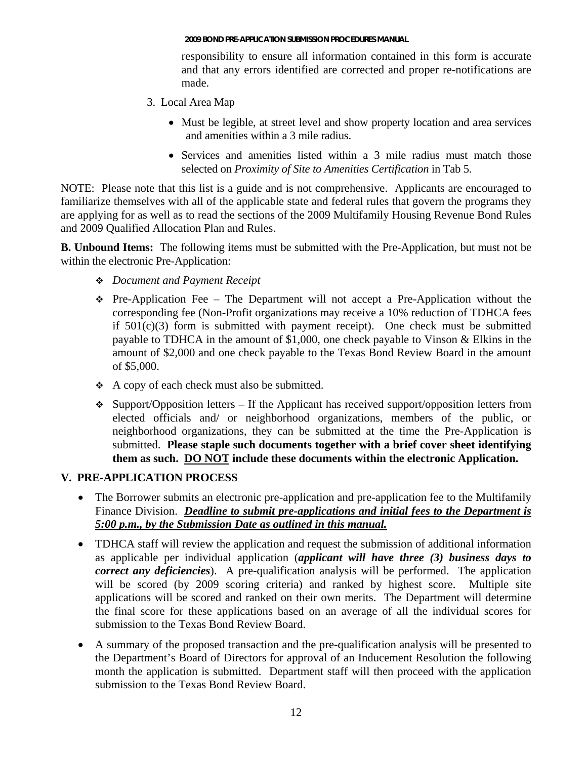responsibility to ensure all information contained in this form is accurate and that any errors identified are corrected and proper re-notifications are made.

- 3. Local Area Map
	- Must be legible, at street level and show property location and area services and amenities within a 3 mile radius.
	- Services and amenities listed within a 3 mile radius must match those selected on *Proximity of Site to Amenities Certification* in Tab 5.

NOTE: Please note that this list is a guide and is not comprehensive. Applicants are encouraged to familiarize themselves with all of the applicable state and federal rules that govern the programs they are applying for as well as to read the sections of the 2009 Multifamily Housing Revenue Bond Rules and 2009 Qualified Allocation Plan and Rules.

**B. Unbound Items:** The following items must be submitted with the Pre-Application, but must not be within the electronic Pre-Application:

- *Document and Payment Receipt*
- $\div$  Pre-Application Fee The Department will not accept a Pre-Application without the corresponding fee (Non-Profit organizations may receive a 10% reduction of TDHCA fees if  $501(c)(3)$  form is submitted with payment receipt). One check must be submitted payable to TDHCA in the amount of \$1,000, one check payable to Vinson & Elkins in the amount of \$2,000 and one check payable to the Texas Bond Review Board in the amount of \$5,000.
- $\triangle$  A copy of each check must also be submitted.
- $\div$  Support/Opposition letters If the Applicant has received support/opposition letters from elected officials and/ or neighborhood organizations, members of the public, or neighborhood organizations, they can be submitted at the time the Pre-Application is submitted. **Please staple such documents together with a brief cover sheet identifying them as such. DO NOT include these documents within the electronic Application.**

### **V. PRE-APPLICATION PROCESS**

- The Borrower submits an electronic pre-application and pre-application fee to the Multifamily Finance Division. *Deadline to submit pre-applications and initial fees to the Department is 5:00 p.m., by the Submission Date as outlined in this manual.*
- TDHCA staff will review the application and request the submission of additional information as applicable per individual application (*applicant will have three (3) business days to correct any deficiencies*). A pre-qualification analysis will be performed. The application will be scored (by 2009 scoring criteria) and ranked by highest score. Multiple site applications will be scored and ranked on their own merits. The Department will determine the final score for these applications based on an average of all the individual scores for submission to the Texas Bond Review Board.
- A summary of the proposed transaction and the pre-qualification analysis will be presented to the Department's Board of Directors for approval of an Inducement Resolution the following month the application is submitted. Department staff will then proceed with the application submission to the Texas Bond Review Board.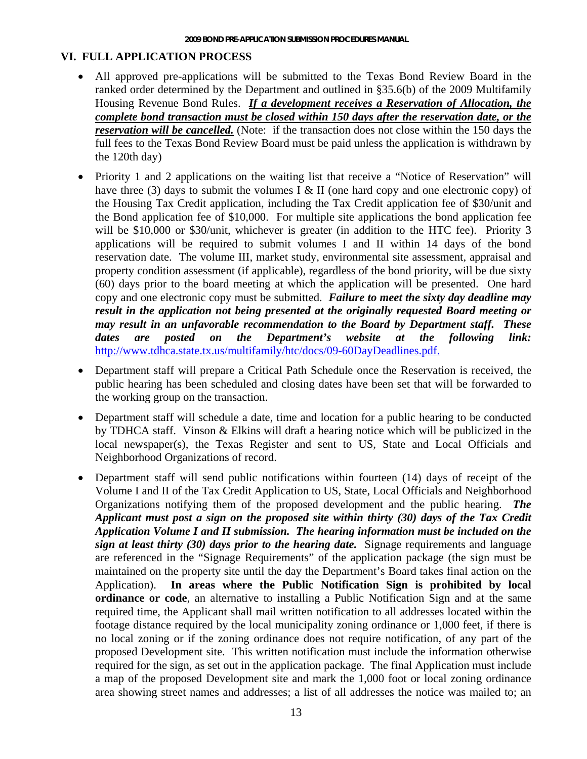### **VI. FULL APPLICATION PROCESS**

- All approved pre-applications will be submitted to the Texas Bond Review Board in the ranked order determined by the Department and outlined in §35.6(b) of the 2009 Multifamily Housing Revenue Bond Rules. *If a development receives a Reservation of Allocation, the complete bond transaction must be closed within 150 days after the reservation date, or the reservation will be cancelled.* (Note: if the transaction does not close within the 150 days the full fees to the Texas Bond Review Board must be paid unless the application is withdrawn by the 120th day)
- Priority 1 and 2 applications on the waiting list that receive a "Notice of Reservation" will have three (3) days to submit the volumes I & II (one hard copy and one electronic copy) of the Housing Tax Credit application, including the Tax Credit application fee of \$30/unit and the Bond application fee of \$10,000. For multiple site applications the bond application fee will be \$10,000 or \$30/unit, whichever is greater (in addition to the HTC fee). Priority 3 applications will be required to submit volumes I and II within 14 days of the bond reservation date. The volume III, market study, environmental site assessment, appraisal and property condition assessment (if applicable), regardless of the bond priority, will be due sixty (60) days prior to the board meeting at which the application will be presented. One hard copy and one electronic copy must be submitted. *Failure to meet the sixty day deadline may result in the application not being presented at the originally requested Board meeting or may result in an unfavorable recommendation to the Board by Department staff. These dates are posted on the Department's website at the following link:* <http://www.tdhca.state.tx.us/multifamily/htc/docs/09-60DayDeadlines.pdf.>
- Department staff will prepare a Critical Path Schedule once the Reservation is received, the public hearing has been scheduled and closing dates have been set that will be forwarded to the working group on the transaction.
- Department staff will schedule a date, time and location for a public hearing to be conducted by TDHCA staff. Vinson & Elkins will draft a hearing notice which will be publicized in the local newspaper(s), the Texas Register and sent to US, State and Local Officials and Neighborhood Organizations of record.
- Department staff will send public notifications within fourteen (14) days of receipt of the Volume I and II of the Tax Credit Application to US, State, Local Officials and Neighborhood Organizations notifying them of the proposed development and the public hearing. *The Applicant must post a sign on the proposed site within thirty (30) days of the Tax Credit Application Volume I and II submission. The hearing information must be included on the sign at least thirty (30) days prior to the hearing date.* Signage requirements and language are referenced in the "Signage Requirements" of the application package (the sign must be maintained on the property site until the day the Department's Board takes final action on the Application). **In areas where the Public Notification Sign is prohibited by local ordinance or code**, an alternative to installing a Public Notification Sign and at the same required time, the Applicant shall mail written notification to all addresses located within the footage distance required by the local municipality zoning ordinance or 1,000 feet, if there is no local zoning or if the zoning ordinance does not require notification, of any part of the proposed Development site. This written notification must include the information otherwise required for the sign, as set out in the application package. The final Application must include a map of the proposed Development site and mark the 1,000 foot or local zoning ordinance area showing street names and addresses; a list of all addresses the notice was mailed to; an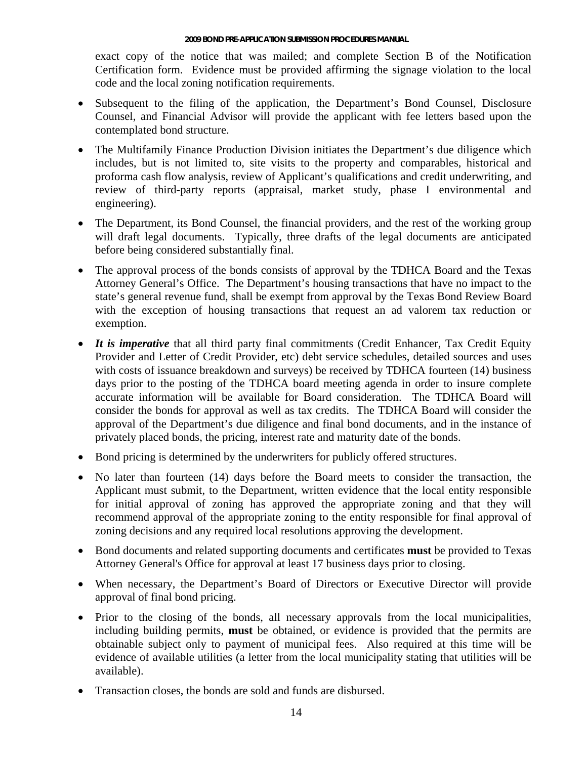exact copy of the notice that was mailed; and complete Section B of the Notification Certification form. Evidence must be provided affirming the signage violation to the local code and the local zoning notification requirements.

- Subsequent to the filing of the application, the Department's Bond Counsel, Disclosure Counsel, and Financial Advisor will provide the applicant with fee letters based upon the contemplated bond structure.
- The Multifamily Finance Production Division initiates the Department's due diligence which includes, but is not limited to, site visits to the property and comparables, historical and proforma cash flow analysis, review of Applicant's qualifications and credit underwriting, and review of third-party reports (appraisal, market study, phase I environmental and engineering).
- The Department, its Bond Counsel, the financial providers, and the rest of the working group will draft legal documents. Typically, three drafts of the legal documents are anticipated before being considered substantially final.
- The approval process of the bonds consists of approval by the TDHCA Board and the Texas Attorney General's Office. The Department's housing transactions that have no impact to the state's general revenue fund, shall be exempt from approval by the Texas Bond Review Board with the exception of housing transactions that request an ad valorem tax reduction or exemption.
- *It is imperative* that all third party final commitments (Credit Enhancer, Tax Credit Equity Provider and Letter of Credit Provider, etc) debt service schedules, detailed sources and uses with costs of issuance breakdown and surveys) be received by TDHCA fourteen (14) business days prior to the posting of the TDHCA board meeting agenda in order to insure complete accurate information will be available for Board consideration. The TDHCA Board will consider the bonds for approval as well as tax credits. The TDHCA Board will consider the approval of the Department's due diligence and final bond documents, and in the instance of privately placed bonds, the pricing, interest rate and maturity date of the bonds.
- Bond pricing is determined by the underwriters for publicly offered structures.
- No later than fourteen (14) days before the Board meets to consider the transaction, the Applicant must submit, to the Department, written evidence that the local entity responsible for initial approval of zoning has approved the appropriate zoning and that they will recommend approval of the appropriate zoning to the entity responsible for final approval of zoning decisions and any required local resolutions approving the development.
- Bond documents and related supporting documents and certificates **must** be provided to Texas Attorney General's Office for approval at least 17 business days prior to closing.
- When necessary, the Department's Board of Directors or Executive Director will provide approval of final bond pricing.
- Prior to the closing of the bonds, all necessary approvals from the local municipalities, including building permits, **must** be obtained, or evidence is provided that the permits are obtainable subject only to payment of municipal fees. Also required at this time will be evidence of available utilities (a letter from the local municipality stating that utilities will be available).
- Transaction closes, the bonds are sold and funds are disbursed.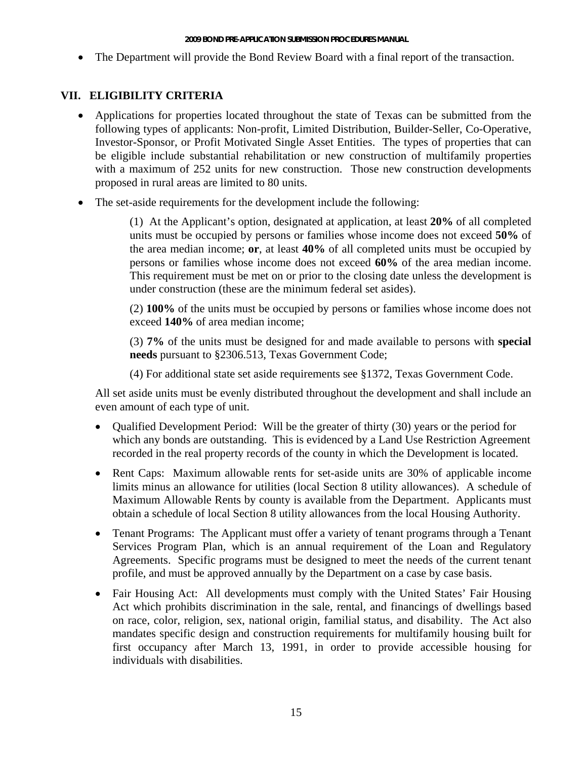• The Department will provide the Bond Review Board with a final report of the transaction.

## **VII. ELIGIBILITY CRITERIA**

- Applications for properties located throughout the state of Texas can be submitted from the following types of applicants: Non-profit, Limited Distribution, Builder-Seller, Co-Operative, Investor-Sponsor, or Profit Motivated Single Asset Entities. The types of properties that can be eligible include substantial rehabilitation or new construction of multifamily properties with a maximum of 252 units for new construction. Those new construction developments proposed in rural areas are limited to 80 units.
- The set-aside requirements for the development include the following:

(1) At the Applicant's option, designated at application, at least **20%** of all completed units must be occupied by persons or families whose income does not exceed **50%** of the area median income; **or**, at least **40%** of all completed units must be occupied by persons or families whose income does not exceed **60%** of the area median income. This requirement must be met on or prior to the closing date unless the development is under construction (these are the minimum federal set asides).

(2) **100%** of the units must be occupied by persons or families whose income does not exceed **140%** of area median income;

(3) **7%** of the units must be designed for and made available to persons with **special needs** pursuant to §2306.513, Texas Government Code;

(4) For additional state set aside requirements see §1372, Texas Government Code.

All set aside units must be evenly distributed throughout the development and shall include an even amount of each type of unit.

- Qualified Development Period: Will be the greater of thirty (30) years or the period for which any bonds are outstanding. This is evidenced by a Land Use Restriction Agreement recorded in the real property records of the county in which the Development is located.
- Rent Caps: Maximum allowable rents for set-aside units are 30% of applicable income limits minus an allowance for utilities (local Section 8 utility allowances). A schedule of Maximum Allowable Rents by county is available from the Department. Applicants must obtain a schedule of local Section 8 utility allowances from the local Housing Authority.
- Tenant Programs: The Applicant must offer a variety of tenant programs through a Tenant Services Program Plan, which is an annual requirement of the Loan and Regulatory Agreements. Specific programs must be designed to meet the needs of the current tenant profile, and must be approved annually by the Department on a case by case basis.
- Fair Housing Act: All developments must comply with the United States' Fair Housing Act which prohibits discrimination in the sale, rental, and financings of dwellings based on race, color, religion, sex, national origin, familial status, and disability. The Act also mandates specific design and construction requirements for multifamily housing built for first occupancy after March 13, 1991, in order to provide accessible housing for individuals with disabilities.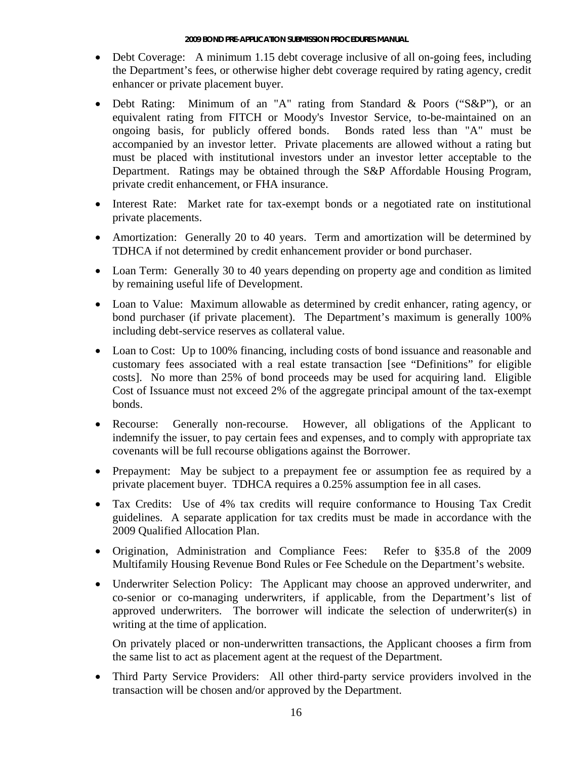- Debt Coverage: A minimum 1.15 debt coverage inclusive of all on-going fees, including the Department's fees, or otherwise higher debt coverage required by rating agency, credit enhancer or private placement buyer.
- Debt Rating: Minimum of an "A" rating from Standard & Poors ("S&P"), or an equivalent rating from FITCH or Moody's Investor Service, to-be-maintained on an ongoing basis, for publicly offered bonds. Bonds rated less than "A" must be accompanied by an investor letter. Private placements are allowed without a rating but must be placed with institutional investors under an investor letter acceptable to the Department. Ratings may be obtained through the S&P Affordable Housing Program, private credit enhancement, or FHA insurance.
- Interest Rate: Market rate for tax-exempt bonds or a negotiated rate on institutional private placements.
- Amortization: Generally 20 to 40 years. Term and amortization will be determined by TDHCA if not determined by credit enhancement provider or bond purchaser.
- Loan Term: Generally 30 to 40 years depending on property age and condition as limited by remaining useful life of Development.
- Loan to Value: Maximum allowable as determined by credit enhancer, rating agency, or bond purchaser (if private placement). The Department's maximum is generally 100% including debt-service reserves as collateral value.
- Loan to Cost: Up to 100% financing, including costs of bond issuance and reasonable and customary fees associated with a real estate transaction [see "Definitions" for eligible costs]. No more than 25% of bond proceeds may be used for acquiring land. Eligible Cost of Issuance must not exceed 2% of the aggregate principal amount of the tax-exempt bonds.
- Recourse: Generally non-recourse. However, all obligations of the Applicant to indemnify the issuer, to pay certain fees and expenses, and to comply with appropriate tax covenants will be full recourse obligations against the Borrower.
- Prepayment: May be subject to a prepayment fee or assumption fee as required by a private placement buyer. TDHCA requires a 0.25% assumption fee in all cases.
- Tax Credits: Use of 4% tax credits will require conformance to Housing Tax Credit guidelines. A separate application for tax credits must be made in accordance with the 2009 Qualified Allocation Plan.
- Origination, Administration and Compliance Fees: Refer to §35.8 of the 2009 Multifamily Housing Revenue Bond Rules or Fee Schedule on the Department's website.
- Underwriter Selection Policy: The Applicant may choose an approved underwriter, and co-senior or co-managing underwriters, if applicable, from the Department's list of approved underwriters. The borrower will indicate the selection of underwriter(s) in writing at the time of application.

On privately placed or non-underwritten transactions, the Applicant chooses a firm from the same list to act as placement agent at the request of the Department.

• Third Party Service Providers:All other third-party service providers involved in the transaction will be chosen and/or approved by the Department.